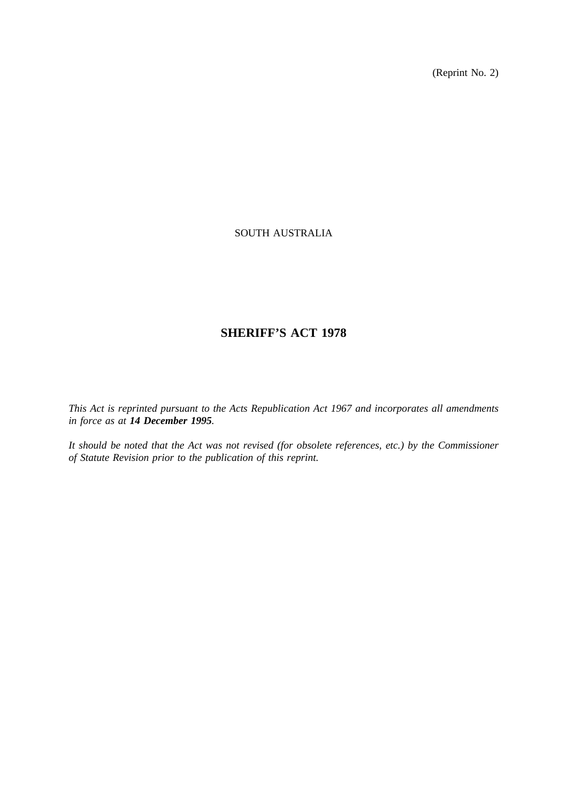(Reprint No. 2)

# SOUTH AUSTRALIA

# **SHERIFF'S ACT 1978**

*This Act is reprinted pursuant to the Acts Republication Act 1967 and incorporates all amendments in force as at 14 December 1995.*

*It should be noted that the Act was not revised (for obsolete references, etc.) by the Commissioner of Statute Revision prior to the publication of this reprint.*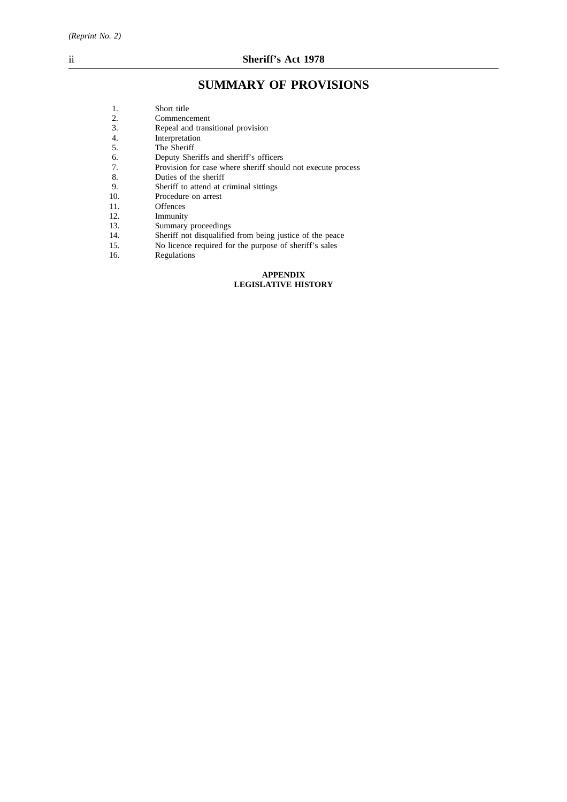# **SUMMARY OF PROVISIONS**

| 1.  | Short title                                                 |
|-----|-------------------------------------------------------------|
| 2.  | Commencement                                                |
| 3.  | Repeal and transitional provision                           |
| 4.  | Interpretation                                              |
| 5.  | The Sheriff                                                 |
| 6.  | Deputy Sheriffs and sheriff's officers                      |
| 7.  | Provision for case where sheriff should not execute process |
| 8.  | Duties of the sheriff                                       |
| 9.  | Sheriff to attend at criminal sittings                      |
| 10. | Procedure on arrest                                         |
| 11. | <b>Offences</b>                                             |
| 12. | Immunity                                                    |
| 13. | Summary proceedings                                         |
| 14. | Sheriff not disqualified from being justice of the peace    |
| 15. | No licence required for the purpose of sheriff's sales      |
| 16. | Regulations                                                 |
|     |                                                             |

#### **APPENDIX LEGISLATIVE HISTORY**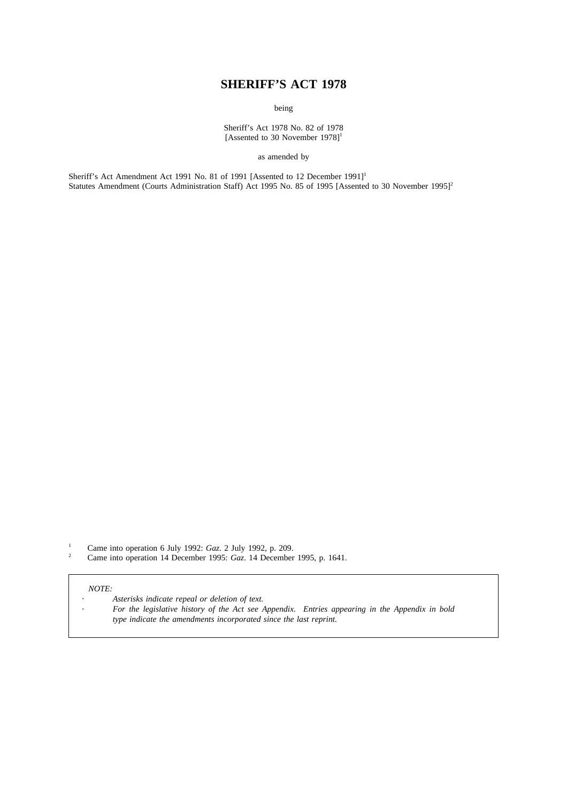# **SHERIFF'S ACT 1978**

being

Sheriff's Act 1978 No. 82 of 1978 [Assented to 30 November  $1978$ ]<sup>1</sup>

as amended by

Sheriff's Act Amendment Act 1991 No. 81 of 1991 [Assented to 12 December 1991]<sup>1</sup> Statutes Amendment (Courts Administration Staff) Act 1995 No. 85 of 1995 [Assented to 30 November 1995]<sup>2</sup>

<sup>1</sup> Came into operation 6 July 1992: *Gaz*. 2 July 1992, p. 209.<br><sup>2</sup> Came into operation 14 December 1995: *Gaz*. 14 December

<sup>2</sup> Came into operation 14 December 1995: *Gaz*. 14 December 1995, p. 1641.

# *NOTE:*

- *Asterisks indicate repeal or deletion of text.*
- *For the legislative history of the Act see Appendix. Entries appearing in the Appendix in bold type indicate the amendments incorporated since the last reprint.*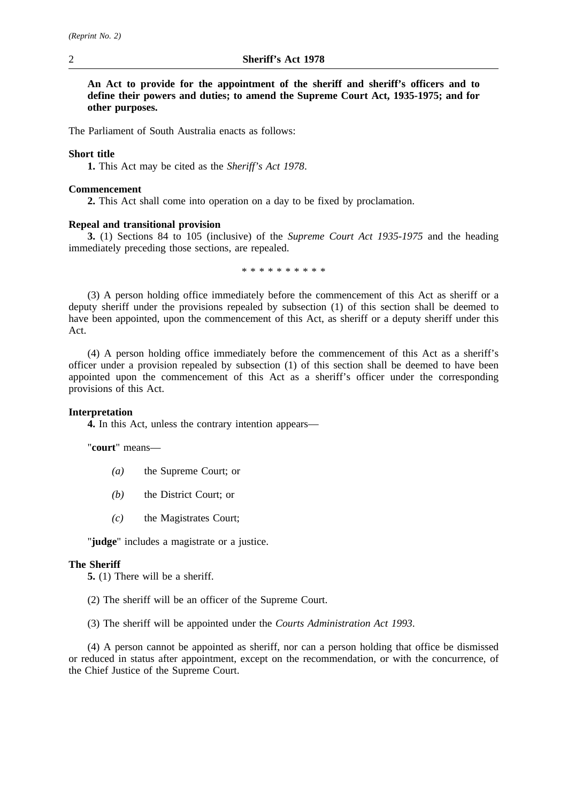**An Act to provide for the appointment of the sheriff and sheriff's officers and to define their powers and duties; to amend the Supreme Court Act, 1935-1975; and for other purposes.**

The Parliament of South Australia enacts as follows:

# **Short title**

**1.** This Act may be cited as the *Sheriff's Act 1978*.

# **Commencement**

**2.** This Act shall come into operation on a day to be fixed by proclamation.

# **Repeal and transitional provision**

**3.** (1) Sections 84 to 105 (inclusive) of the *Supreme Court Act 1935-1975* and the heading immediately preceding those sections, are repealed.

\*\*\*\*\*\*\*\*\*\*

(3) A person holding office immediately before the commencement of this Act as sheriff or a deputy sheriff under the provisions repealed by subsection (1) of this section shall be deemed to have been appointed, upon the commencement of this Act, as sheriff or a deputy sheriff under this Act.

(4) A person holding office immediately before the commencement of this Act as a sheriff's officer under a provision repealed by subsection (1) of this section shall be deemed to have been appointed upon the commencement of this Act as a sheriff's officer under the corresponding provisions of this Act.

## **Interpretation**

**4.** In this Act, unless the contrary intention appears—

"**court**" means—

- *(a)* the Supreme Court; or
- *(b)* the District Court; or
- *(c)* the Magistrates Court;

"**judge**" includes a magistrate or a justice.

#### **The Sheriff**

**5.** (1) There will be a sheriff.

- (2) The sheriff will be an officer of the Supreme Court.
- (3) The sheriff will be appointed under the *Courts Administration Act 1993*.

(4) A person cannot be appointed as sheriff, nor can a person holding that office be dismissed or reduced in status after appointment, except on the recommendation, or with the concurrence, of the Chief Justice of the Supreme Court.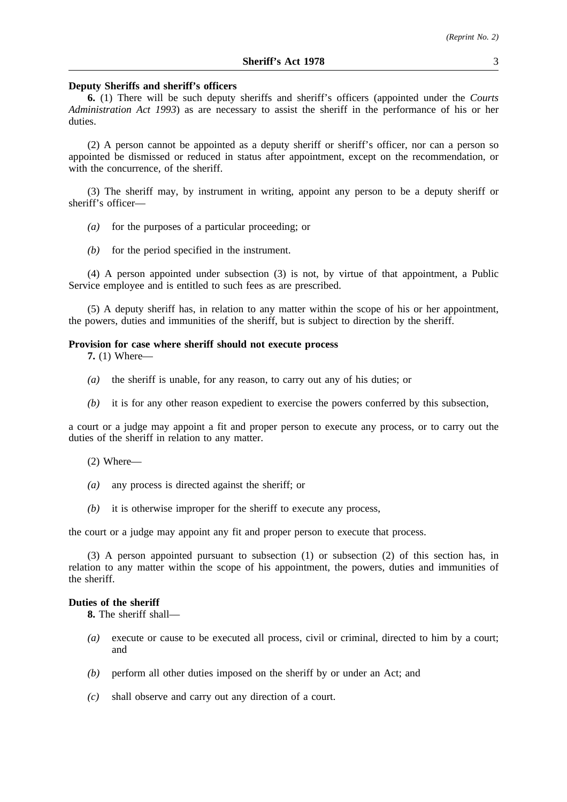#### **Deputy Sheriffs and sheriff's officers**

**6.** (1) There will be such deputy sheriffs and sheriff's officers (appointed under the *Courts Administration Act 1993*) as are necessary to assist the sheriff in the performance of his or her duties.

(2) A person cannot be appointed as a deputy sheriff or sheriff's officer, nor can a person so appointed be dismissed or reduced in status after appointment, except on the recommendation, or with the concurrence, of the sheriff.

(3) The sheriff may, by instrument in writing, appoint any person to be a deputy sheriff or sheriff's officer—

- *(a)* for the purposes of a particular proceeding; or
- *(b)* for the period specified in the instrument.

(4) A person appointed under subsection (3) is not, by virtue of that appointment, a Public Service employee and is entitled to such fees as are prescribed.

(5) A deputy sheriff has, in relation to any matter within the scope of his or her appointment, the powers, duties and immunities of the sheriff, but is subject to direction by the sheriff.

#### **Provision for case where sheriff should not execute process**

**7.** (1) Where—

- *(a)* the sheriff is unable, for any reason, to carry out any of his duties; or
- *(b)* it is for any other reason expedient to exercise the powers conferred by this subsection,

a court or a judge may appoint a fit and proper person to execute any process, or to carry out the duties of the sheriff in relation to any matter.

- (2) Where—
- *(a)* any process is directed against the sheriff; or
- *(b)* it is otherwise improper for the sheriff to execute any process,

the court or a judge may appoint any fit and proper person to execute that process.

(3) A person appointed pursuant to subsection (1) or subsection (2) of this section has, in relation to any matter within the scope of his appointment, the powers, duties and immunities of the sheriff.

# **Duties of the sheriff**

**8.** The sheriff shall—

- *(a)* execute or cause to be executed all process, civil or criminal, directed to him by a court; and
- *(b)* perform all other duties imposed on the sheriff by or under an Act; and
- *(c)* shall observe and carry out any direction of a court.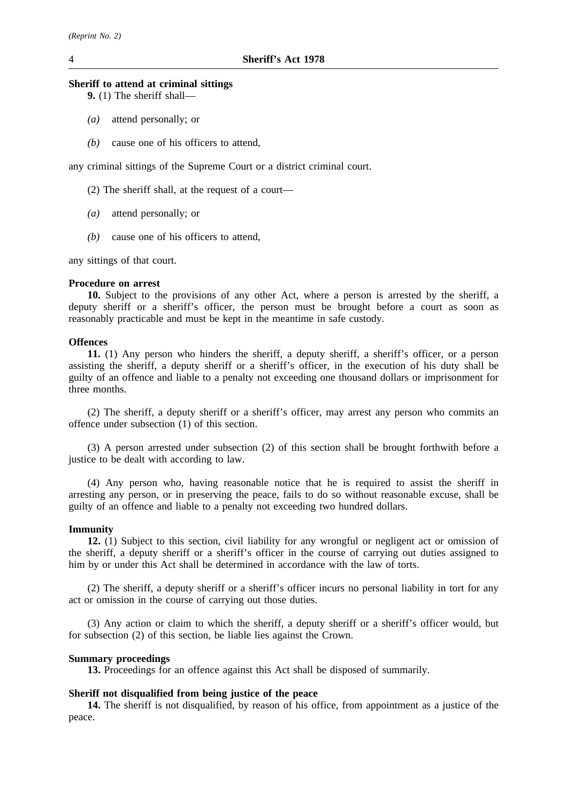# **Sheriff to attend at criminal sittings**

**9.** (1) The sheriff shall—

- *(a)* attend personally; or
- *(b)* cause one of his officers to attend,

any criminal sittings of the Supreme Court or a district criminal court.

- (2) The sheriff shall, at the request of a court—
- *(a)* attend personally; or
- *(b)* cause one of his officers to attend,

any sittings of that court.

# **Procedure on arrest**

**10.** Subject to the provisions of any other Act, where a person is arrested by the sheriff, a deputy sheriff or a sheriff's officer, the person must be brought before a court as soon as reasonably practicable and must be kept in the meantime in safe custody.

### **Offences**

**11.** (1) Any person who hinders the sheriff, a deputy sheriff, a sheriff's officer, or a person assisting the sheriff, a deputy sheriff or a sheriff's officer, in the execution of his duty shall be guilty of an offence and liable to a penalty not exceeding one thousand dollars or imprisonment for three months.

(2) The sheriff, a deputy sheriff or a sheriff's officer, may arrest any person who commits an offence under subsection (1) of this section.

(3) A person arrested under subsection (2) of this section shall be brought forthwith before a justice to be dealt with according to law.

(4) Any person who, having reasonable notice that he is required to assist the sheriff in arresting any person, or in preserving the peace, fails to do so without reasonable excuse, shall be guilty of an offence and liable to a penalty not exceeding two hundred dollars.

## **Immunity**

**12.** (1) Subject to this section, civil liability for any wrongful or negligent act or omission of the sheriff, a deputy sheriff or a sheriff's officer in the course of carrying out duties assigned to him by or under this Act shall be determined in accordance with the law of torts.

(2) The sheriff, a deputy sheriff or a sheriff's officer incurs no personal liability in tort for any act or omission in the course of carrying out those duties.

(3) Any action or claim to which the sheriff, a deputy sheriff or a sheriff's officer would, but for subsection (2) of this section, be liable lies against the Crown.

## **Summary proceedings**

**13.** Proceedings for an offence against this Act shall be disposed of summarily.

# **Sheriff not disqualified from being justice of the peace**

**14.** The sheriff is not disqualified, by reason of his office, from appointment as a justice of the peace.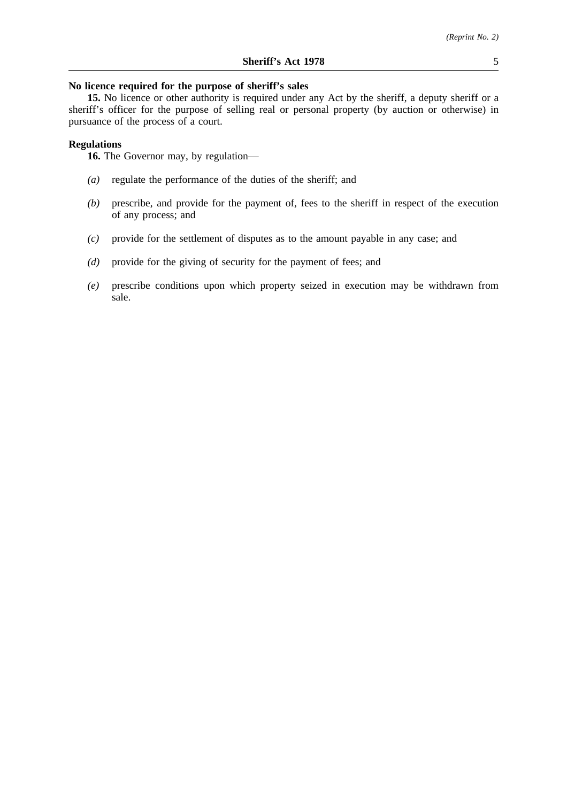# **No licence required for the purpose of sheriff's sales**

**15.** No licence or other authority is required under any Act by the sheriff, a deputy sheriff or a sheriff's officer for the purpose of selling real or personal property (by auction or otherwise) in pursuance of the process of a court.

# **Regulations**

**16.** The Governor may, by regulation—

- *(a)* regulate the performance of the duties of the sheriff; and
- *(b)* prescribe, and provide for the payment of, fees to the sheriff in respect of the execution of any process; and
- *(c)* provide for the settlement of disputes as to the amount payable in any case; and
- *(d)* provide for the giving of security for the payment of fees; and
- *(e)* prescribe conditions upon which property seized in execution may be withdrawn from sale.